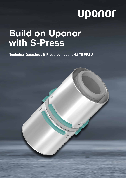# uponor

## **Build on Uponor with S-Press**

**Technical Datasheet S-Press composite 63-75 PPSU**

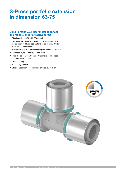### **S-Press portfolio extension in dimension 63-75**

#### **Build to make your riser installation fast and reliable under attractive terms**

- $\checkmark$  Big dimension 63-75 with PPSU body
- $\checkmark$  S-Press 63-75 material is listed on the 4MS positive list of the as approved **lead-free** material to be in contact with water for human consumption
- $\checkmark$  Fast installation with easy bevelling and without calibration
- $\checkmark$  Compatibility to current pipes and tools
- $\checkmark$  Free choice between Uponor RS portfolio and S-Press composite portfolio 63-75
- $\checkmark$  Colour coding
- $\checkmark$  Test safety function
- $\checkmark$  Stop ring segments for easy and precise jaw fixation

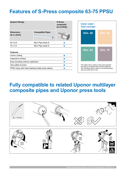### **Features of S-Press composite 63-75 PPSU**

|                                                   | <b>S-Press</b><br>composite<br><b>63-75 PPSU</b> |  |  |  |  |
|---------------------------------------------------|--------------------------------------------------|--|--|--|--|
| <b>Compatible Pipes</b>                           |                                                  |  |  |  |  |
| MLC Pipe white S                                  |                                                  |  |  |  |  |
| MLC Pipe white S                                  |                                                  |  |  |  |  |
|                                                   |                                                  |  |  |  |  |
|                                                   |                                                  |  |  |  |  |
|                                                   |                                                  |  |  |  |  |
|                                                   |                                                  |  |  |  |  |
| Easy bevelling without calibration                |                                                  |  |  |  |  |
| Test safety function                              |                                                  |  |  |  |  |
| PPSU body with fixed stainless steel press sleeve |                                                  |  |  |  |  |
|                                                   |                                                  |  |  |  |  |

mm



The bright colour coding on the press indicator are easy to recognise even from far distances. The matching colour coding on the pressing jaws tells you which tool to use.

#### **Fully compatible to related Uponor multilayer composite pipes and Uponor press tools** <u>Teizileo Udoniof Inu</u>

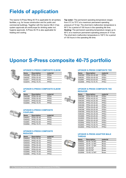### **Fields of application**

The Uponor S-Press fitting 40-75 is applicable for all sanitary facilities, e.g. for house construction and for public and commercial buildings. Together with the Uponor MLC it has system approvals all overEurope for drinking water incl. hygiene approvals. S-Press 40-75 is also applicable for heating and cooling.

**Tap water:** The permanent operating temperature ranges from 0°C to 70°C at a maximum permanent operating pressure of 10 bar. The short-term malfunction temperature is 95°C for a period of 100 hours in the operating life time. **Heating:** The permanent operating temperature ranges up to 80°C at a maximum permanent operating pressure of 10 bar. The short-term malfunction temperature is 100°C for a period of 100 hours in the operating life time.

### **Uponor S-Press composite 40-75 portfolio**



#### **UPONOR S-PRESS COMPOSITE ELBOW**

| <b>Items</b> | <b>Description</b> | material    |
|--------------|--------------------|-------------|
| 1046386      | PPSU 40-40         | PPSU        |
| 1046387      | PPSU 50-50         | PPSU        |
| 1032877      | PPSU 63-63         | PPSU        |
| 1032878      | <b>PPSU 75-75</b>  | <b>PPSU</b> |



#### **UPONOR S-PRESS COMPOSITE ELBOW 45°**

| <b>Items</b> | <b>Description</b> | material    |  |
|--------------|--------------------|-------------|--|
| 1046388      | <b>PPSU 40-40</b>  | <b>PPSU</b> |  |
| 1046389      | PPSU 50-50         | PPSU        |  |
| 1032879      | PPSU 63-63         | PPSU        |  |
| 1032880      | <b>PPSU 75-75</b>  | PPSU        |  |



#### **UPONOR S-PRESS COMPOSITE COUPLING**

| <b>Items</b> | <b>Description</b> | material |
|--------------|--------------------|----------|
| 1046401      | <b>PPSU 40-40</b>  | PPSU     |
| 1046402      | PPSU 50-50         | PPSU     |
| 1032881      | PPSU 63-63         | PPSU     |
| 1032882      | <b>PPSU 75-75</b>  | PPSU     |



#### **UPONOR S-PRESS COMPOSITE REDUCER**

| <b>Items</b> | <b>Description</b> | material |
|--------------|--------------------|----------|
| 1046403      | <b>PPSU 40-25</b>  | PPSU     |
| 1046404      | <b>PPSU 40-32</b>  | PPSU     |
| 1046405      | <b>PPSU 50-32</b>  | PPSU     |
| 1046406      | <b>PPSU 50-40</b>  | PPSU     |
| 1032883      | PPSU 63-40         | PPSU     |
| 1032884      | PPSU 63-50         | PPSU     |
| 1032885      | <b>PPSU 75-50</b>  | PPSU     |
| 1032886      | <b>PPSU 75-63</b>  | PPSU     |

#### **UPONOR S-PRESS COMPOSITE TEE**

| <b>Items</b> | <b>Description</b> | material    |
|--------------|--------------------|-------------|
| 1046390      | PPSU 40-40-40      | <b>PPSU</b> |
| 1046391      | PPSU 50-50-50      | <b>PPSU</b> |
| 1032887      | PPSU 63-63-63      | PPSU        |
| 1032888      | PPSU 75-75-75      | PPSU        |

#### **UPONOR S-PRESS COMPOSITE TEE REDUCER**

| Items   | <b>Description</b> | material |
|---------|--------------------|----------|
| 1046392 | PPSU 40-20-40      | PPSU     |
| 1046393 | PPSU 40-25-32      | PPSU     |
| 1046394 | PPSU 40-25-40      | PPSU     |
| 1046395 | PPSU 40-32-32      | PPSU     |
| 1046396 | PPSU 40-32-40      | PPSU     |
| 1046397 | PPSU 50-25-40      | PPSU     |
| 1046398 | PPSU 50-25-50      | PPSU     |
| 1046399 | PPSU 50-32-50      | PPSU     |
| 1046400 | PPSU 50-40-50      | PPSU     |
| 1032889 | PPSU 63-25-63      | PPSU     |
| 1032890 | PPSU 63-32-63      | PPSU     |
| 1032891 | PPSU 63-40-63      | PPSU     |
| 1032892 | PPSU 75-32-75      | PPSU     |
| 1032893 | PPSU 75-40-75      | PPSU     |
| 1032894 | PPSU 75-50-75      | PPSU     |

#### **UPONOR S-PRESS ADAPTER MALE THREAD**

| <b>Items</b> | <b>Description</b> | material     |
|--------------|--------------------|--------------|
| 1046901      | 40-R1 1/4"MT       | <b>Brass</b> |
| 1046902      | 40-R1 1/2"MT       | <b>Brass</b> |
| 1046905      | 50-R1 1/2"MT       | <b>Brass</b> |
| 1046906      | 50-R2"MT           | <b>Brass</b> |
| 1032895      | 63-R2"MT           | <b>Brass</b> |
| 1032896      | 75-R2 1/2"MT       | Brass        |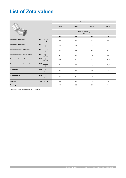### **List of Zeta values**

|                                   | Zeta values $\zeta$                           |              |              |              |      |  |  |  |
|-----------------------------------|-----------------------------------------------|--------------|--------------|--------------|------|--|--|--|
|                                   | <b>DN 32</b>                                  | <b>DN 40</b> | <b>DN 50</b> | <b>DN 65</b> |      |  |  |  |
|                                   | Dimensions OD d <sub>s</sub><br>mm            |              |              |              |      |  |  |  |
|                                   |                                               | 40           | 50           | 63           | 75   |  |  |  |
| Branch run at flow split          | <b>TA</b><br>$\vert \downarrow \nu \vert$     | 5,5          | 4,4          | 5,2          | 5,0  |  |  |  |
| Branch run at flow split          | TD                                            | 1,0          | 0,7          | 1,2          | 1,2  |  |  |  |
| Branch reverse run at flow split  | TG<br>$\rightarrow$                           | 6,1          | 4,8          | 6,7          | 6,3  |  |  |  |
| Branch reverse run at merged flow | <b>TVA</b>                                    | 12,1         | 9,4          | 12,6         | 11,8 |  |  |  |
| Branch run at merged flow         | <b>TVD</b>                                    | 22,8         | 18,8         | 25,5         | 26,0 |  |  |  |
| Branch reverse run at merged flow | TVG $\stackrel{V}{\equiv}$                    | 12,4         | 9,7          | 13,5         | 12,7 |  |  |  |
| Press elbow                       | <b>W90</b><br>$\frac{v_{\perp}}{\sqrt{2\pi}}$ | 5,1          | 4,3          | 4,4          | 3,8  |  |  |  |
| Press elbow 45°                   | <b>W45</b><br>٧Ý<br>$\frac{1}{2}$             | 2,1          | 2,0          | 1,7          | 1,7  |  |  |  |
| Reducing                          | RED $\rightarrow$                             | 0,9          | 1,3          | 1,2          | 1,0  |  |  |  |
| Coupling                          | K<br>$\rightarrow$ $\rightarrow$              | 0,8          | 0,6          | 0,6          | 0,6  |  |  |  |

*Zeta values S-Press composite 40-75 portfolio*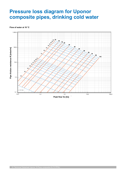### **Pressure loss diagram for Uponor composite pipes, drinking cold water**

#### **Flow of water at 10 °C**

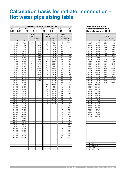### **Calculation basis for radiator connection - Hot water pipe sizing table**

|                    |                  |                  |                |                  |                 | <b>Conversion factor for pressure loss</b> |                  |                                | Water temperature 70 °C  |                    |              |                  |
|--------------------|------------------|------------------|----------------|------------------|-----------------|--------------------------------------------|------------------|--------------------------------|--------------------------|--------------------|--------------|------------------|
| $90^{\circ}$ C     | 80°C             | $70^{\circ}$ C   | $60^{\circ}$ C |                  | $50^{\circ}$ C  | $40^{\circ}$ C                             | $30^{\circ}$ C   | $20^{\circ}$ C                 | Supply temperature 80 °C |                    |              |                  |
| 0,95               | 0,98             | 1,00             | 1,02           |                  | 1,05            | 1,10                                       | 1,14             | 1,20                           | Return temperature 60 °C |                    |              |                  |
|                    |                  |                  | $40 \times 4$  |                  | $50 \times 4,5$ |                                            | 63 x 3           |                                |                          |                    | 75 x 7,5     |                  |
|                    |                  |                  | <b>DN 32</b>   |                  | <b>DN 40</b>    |                                            | <b>DN 50</b>     |                                |                          |                    | <b>DN 65</b> |                  |
|                    |                  |                  |                | $V/I = 0,80$ I/m |                 | $V/I = 1,32$ $I/m$                         | $V/I = 2,04$ I/m |                                |                          |                    |              | $V/I = 2,83$ I/m |
|                    | Q                | ${\sf m}$        | $\mathsf{V}$   | $\mathsf{R}$     | $\mathsf{V}$    | R                                          | $\mathsf{V}$     | $\mathsf{R}$                   | Q                        | m                  | $\mathsf{V}$ | F                |
|                    | W                | kg/h             | m/s            | Pa/m             | m/s             | Pa/m                                       | m/s              | Pa/m                           | W                        | kg/h               | m/s          | Pa/m             |
|                    | 5.000            | 215,0            | 0,08           | 3,0              | 0,05            | 1,00                                       | 0,0              | $\mathbf{1}$                   | 60.000                   | 2584,0             | 0,26         | 12,0             |
|                    | 10.000           | 431,0            | 0,15           | 10,0             | 0,09            | 3,00                                       | 0,1              | $\mathbf{1}$<br>$\overline{2}$ | 80.000                   | 3445,0             | 0,35         | 20,0             |
|                    | 15.000<br>20.000 | 646,0<br>861,0   | 0,23<br>0,30   | 21,0<br>35,0     | 0,14<br>0,19    | 7,00<br>11,00                              | 0,1              | $\overline{4}$                 | 100.000<br>120.000       | 4306,0<br>5167,0   | 0,43<br>0,52 | 30,0             |
|                    | 25.000           | 1077,0           | 0,38           | 52,0             | 0,23            | 16,00                                      | 0,1<br>0,2       | 6                              | 140.000                  | 6029,0             | 0,61         | 42,0<br>55,0     |
|                    | 30.000           | 1292,0           | 0,46           | 72,0             | 0,28            | 22,00                                      | 0,2              | 8                              | 160.000                  | 6890,0             | 0,69         | 70,0             |
|                    | 35.000           | 1507,0           | 0,53           | 95,0             | 0,32            | 29,00                                      | 0,2              | 10                             | 180.000                  | 7751,0             | 0,78         | 87,0             |
|                    | 40.000           | 1722,0           | 0,61           | 120,0            | 0,37            | 37,00                                      | 0,2              | 13                             | 200.000                  | 8612,0             | 0,87         | 105,0            |
|                    | 45.000           | 1938,0           | 0,68           | 148,0            | 0,42            | 45,00                                      | 0,3              | 16                             | 220.000                  | 9474,0             | 0,95         | 125,0            |
|                    | 50.000           | 2153,0           | 0,76           | 179,0            | 0,46            | 55,00                                      | 0,3              | 19                             | 240.000                  | 10335,0            | 1,04         | 146,0            |
|                    | 55.000           | 2368,0           | 0,84           | 212,0            | 0,51            | 65,00                                      | 0,3              | 23                             | 260.000                  | 11196,0            | 1,13         | 169,0            |
|                    | 60.000           | 2584,0           | 0,91           | 248,0            | 0,56            | 76,00                                      | 0,4              | 27                             | 280.000                  | 12057,0            | 1,21         | 193,0            |
|                    | 65.000           | 2799,0           | 0,99           | 286,0            | 0,60            | 87,00                                      | 0,4              | 31                             | 300.000                  | 12919,0            | 1,30         | 218,0            |
|                    | 70.000           | 3014,0           | 1,07           | 326,0            | 0,65            | 100,00                                     | 0,4              | 35                             | 320.000                  | 13780,0            | 1,38         | 245,0            |
|                    | 75.000           | 3230,0           | 1,14           | 369,0            | 0,70            | 113,00                                     | 0,5              | 40                             | 340.000                  | 14641,0            | 1,47         | 274,0            |
|                    | 80.000           | 3445,0           | 1,22           | 414,0            | 0,74            | 126,00                                     | 0,5              | 44                             | 360.000                  | 15502,0            | 1,56         | 304,0            |
|                    | 85.000           | 3660,0           | 1,29           | 462,0            | 0,79            | 141,00                                     | 0,5              | 50                             | 380.000                  | 16364,0            | 1,64         | 335,0            |
|                    | 90.000           | 3876,0           | 1,37           | 512,0            | 0,83            | 156,00                                     | 0,5              | 55                             | 400.000                  | 17225,0            | 1,73         | 367,0            |
|                    | 95.000           | 4091,0           | 1,45           | 564,0            | 0,88            | 172,00                                     | 0,6              | 60                             | 420.000                  | 18086,0            | 1,82         | 401,0            |
| 100.000            |                  | 4306,0           | 1,52           | 619,0            | 0,93            | 188,00                                     | 0,6<br>0,6       | 66<br>72                       | 440.000<br>460.000       | 18947,0            | 1,90         | 437,0            |
| 105.000<br>110.000 |                  | 4522,0<br>4737,0 |                |                  | 0,97<br>1,02    | 206,00<br>223,00                           | 0,7              | 78                             | 480.000                  | 19809,0<br>20670,0 | 1,99         | 473,0            |
|                    | 115.000          | 4952,0           |                |                  | 1,07            | 242,00                                     | 0,7              | 85                             | 500.000                  | 21531,0            |              |                  |
|                    | 120.000          | 5167,0           |                |                  | 1,11            | 261,00                                     | 0,7              | 92                             | 520.000                  | 22392,0            |              |                  |
|                    | 125.000          | 5383,0           |                |                  | 1,16            | 281,00                                     | 0,8              | 99                             | 540.000                  | 23254,0            |              |                  |
|                    | 130.000          | 5598,0           |                |                  | 1,20            | 302,00                                     | 0,8              | 106                            | 560.000                  | 24115,0            |              |                  |
|                    | 135.000          | 5813,0           |                |                  | 1,25            | 323,00                                     | 0,8              | 113                            | 580.000                  | 24976,0            |              |                  |
|                    | 140.000          | 6029,0           |                |                  | 1,30            | 345,00                                     | 0,8              | 121                            | 600.000                  | 25837,0            |              |                  |
| 145.000            |                  | 6244,0           |                |                  | 1,34            | 367,00                                     | 0,9              | 129                            | 800.000                  | 34450,0            |              |                  |
|                    | 150.000          | 6459,0           |                |                  | 1,39            | 390,00                                     | 0,9              | 137                            | 820.000                  | 35311,0            |              |                  |
|                    | 160.000          | 6890,0           |                |                  | 1,48            | 438,00                                     | 1,0              | 154                            | 840.000                  | 36172,0            |              |                  |
|                    | 170.000          | 7321,0           |                |                  | 1,58            | 489,00                                     | 1,0              | 171                            | 860.000                  | 37033,0            |              |                  |
|                    | 180.000          | 7751,0           |                |                  |                 |                                            | 1,1              | 190                            | 880.000                  | 37895,0            |              |                  |
|                    | 190.000          | 8182,0           |                |                  |                 |                                            | 1,1              | 209                            | 900.000                  | 38756,0            |              |                  |
| 200.000            |                  | 8612,0           |                |                  |                 |                                            | 1,2              | 230                            | 920.000                  | 39617,0            |              |                  |
| 210.000<br>220.000 |                  | 9043,0<br>9474,0 |                |                  |                 |                                            | 1,3              | 251<br>273                     | 940.000<br>960.000       | 40478,0            |              |                  |
| 230.000            |                  | 9904,0           |                |                  |                 |                                            | 1,3<br>1,4       | 295                            | 980.000                  | 41340,0<br>42201,0 |              |                  |
| 240.000            |                  | 10335,0          |                |                  |                 |                                            | 1,4              | 319                            | 1.000.000                | 43062,0            |              |                  |
| 250.000            |                  | 10766,0          |                |                  |                 |                                            | 1,5              | 343                            |                          |                    |              |                  |
|                    | 260.000          | 11196,0          |                |                  |                 |                                            | 1,6              | 368                            |                          |                    |              |                  |
|                    | 270.000          | 11627,0          |                |                  |                 |                                            | 1,6              | 394                            |                          |                    |              |                  |
|                    | 280.000          | 12057,0          |                |                  |                 |                                            | 1,7              | 421                            |                          |                    |              |                  |
|                    | 290.000          | 12488,0          |                |                  |                 |                                            | 1,7              | 449                            |                          |                    |              |                  |
|                    | 300.000          | 12919,0          |                |                  |                 |                                            | 1,8              | 477                            |                          |                    |              |                  |
|                    | 310.000          | 13349,0          |                |                  |                 |                                            | 1,9              | 506                            |                          |                    |              |                  |
|                    | 320.000          | 13780,0          |                |                  |                 |                                            | 1,9              | 536                            |                          |                    |              |                  |
|                    | 330.000          | 14211,0          |                |                  |                 |                                            | 2,0              | 567                            |                          |                    |              |                  |
|                    | 340.000          | 14641,0          |                |                  |                 |                                            | 2,0              | 599                            |                          |                    |              |                  |
|                    | 350.000          | 15072,0          |                |                  |                 |                                            | 2,1              | 631                            |                          |                    |              |                  |
|                    |                  |                  |                |                  |                 |                                            |                  |                                |                          |                    |              |                  |
|                    |                  |                  |                |                  |                 |                                            |                  |                                | $Q = heat$               |                    |              |                  |
|                    |                  |                  |                |                  |                 |                                            |                  |                                | $m = mass flow$          |                    |              |                  |
|                    |                  |                  |                |                  |                 |                                            |                  |                                | $v = speed$              |                    |              |                  |
|                    |                  |                  |                |                  |                 |                                            |                  |                                | $R = pipe friction$      |                    |              |                  |

#### **Water temperature 70 °C Supply temperature 80 °C Return temperature 60 °C**

|                    |                    | 75 x 7,5         |       |  |  |  |
|--------------------|--------------------|------------------|-------|--|--|--|
|                    |                    | <b>DN 65</b>     |       |  |  |  |
|                    |                    | $V/I = 2,83$ I/m |       |  |  |  |
| Q                  | m                  | $\mathsf{V}$     | R     |  |  |  |
| W                  | kg/h               | m/s              | Pa/m  |  |  |  |
| 60.000             | 2584,0             | 0,26             | 12,0  |  |  |  |
| 80.000             | 3445,0             | 0,35             | 20,0  |  |  |  |
| 100.000            | 4306,0             | 0,43             | 30,0  |  |  |  |
| 120.000            | 5167,0             | 0,52             | 42,0  |  |  |  |
| 140.000            | 6029,0             | 0,61             | 55,0  |  |  |  |
| 160.000            | 6890,0             | 0,69             | 70,0  |  |  |  |
| 180.000            | 7751,0             | 0,78             | 87,0  |  |  |  |
| 200.000            | 8612,0             | 0,87             | 105,0 |  |  |  |
| 220.000            | 9474,0             | 0,95             | 125,0 |  |  |  |
| 240.000            | 10335,0            | 1,04             | 146,0 |  |  |  |
| 260.000            | 11196,0            | 1,13             | 169,0 |  |  |  |
| 280.000            | 12057,0            | 1,21             | 193,0 |  |  |  |
| 300.000            | 12919,0            | 1,30             | 218,0 |  |  |  |
| 320.000            | 13780,0            | 1,38             | 245,0 |  |  |  |
| 340.000            | 14641,0            | 1,47             | 274,0 |  |  |  |
| 360.000            | 15502,0            | 1,56             | 304,0 |  |  |  |
| 380.000            | 16364,0            | 1,64             | 335,0 |  |  |  |
| 400.000            | 17225,0            | 1,73             | 367,0 |  |  |  |
| 420.000            | 18086,0            | 1,82             | 401,0 |  |  |  |
| 440.000            | 18947,0            | 1,90             | 437,0 |  |  |  |
| 460.000            | 19809,0            | 1,99             | 473,0 |  |  |  |
| 480.000            | 20670,0            |                  |       |  |  |  |
| 500.000            | 21531,0            |                  |       |  |  |  |
| 520.000            | 22392,0            |                  |       |  |  |  |
| 540.000            | 23254,0            |                  |       |  |  |  |
| 560.000            | 24115,0            |                  |       |  |  |  |
| 580.000            | 24976,0            |                  |       |  |  |  |
|                    | 25837,0            |                  |       |  |  |  |
| 600.000<br>800.000 | 34450,0            |                  |       |  |  |  |
|                    |                    |                  |       |  |  |  |
| 820.000            | 35311,0            |                  |       |  |  |  |
| 840.000<br>860.000 | 36172,0<br>37033,0 |                  |       |  |  |  |
| 880.000            |                    |                  |       |  |  |  |
|                    | 37895,0            |                  |       |  |  |  |
| 900.000            | 38756,0            |                  |       |  |  |  |
| 920.000            | 39617,0            |                  |       |  |  |  |
| 940.000            | 40478,0            |                  |       |  |  |  |
| 960.000<br>980.000 | 41340,0<br>42201,0 |                  |       |  |  |  |
| 1.000.000          |                    |                  |       |  |  |  |
|                    | 43062,0            |                  |       |  |  |  |
|                    |                    |                  |       |  |  |  |
|                    |                    |                  |       |  |  |  |
|                    |                    |                  |       |  |  |  |
|                    |                    |                  |       |  |  |  |
|                    |                    |                  |       |  |  |  |
|                    |                    |                  |       |  |  |  |
|                    |                    |                  |       |  |  |  |
|                    |                    |                  |       |  |  |  |
|                    |                    |                  |       |  |  |  |
|                    |                    |                  |       |  |  |  |
|                    |                    |                  |       |  |  |  |
|                    |                    |                  |       |  |  |  |
|                    |                    |                  |       |  |  |  |

| $Q = heat$          |  |
|---------------------|--|
| $m = mass flow$     |  |
| $v = speed$         |  |
| $R =$ pipe friction |  |